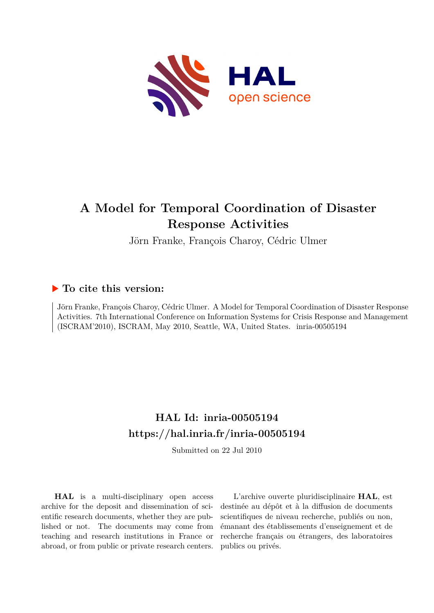

# **A Model for Temporal Coordination of Disaster Response Activities**

Jörn Franke, François Charoy, Cédric Ulmer

# **To cite this version:**

Jörn Franke, François Charoy, Cédric Ulmer. A Model for Temporal Coordination of Disaster Response Activities. 7th International Conference on Information Systems for Crisis Response and Management  $(ISCRAM'2010)$ , ISCRAM, May 2010, Seattle, WA, United States. inria-00505194

# **HAL Id: inria-00505194 <https://hal.inria.fr/inria-00505194>**

Submitted on 22 Jul 2010

**HAL** is a multi-disciplinary open access archive for the deposit and dissemination of scientific research documents, whether they are published or not. The documents may come from teaching and research institutions in France or abroad, or from public or private research centers.

L'archive ouverte pluridisciplinaire **HAL**, est destinée au dépôt et à la diffusion de documents scientifiques de niveau recherche, publiés ou non, émanant des établissements d'enseignement et de recherche français ou étrangers, des laboratoires publics ou privés.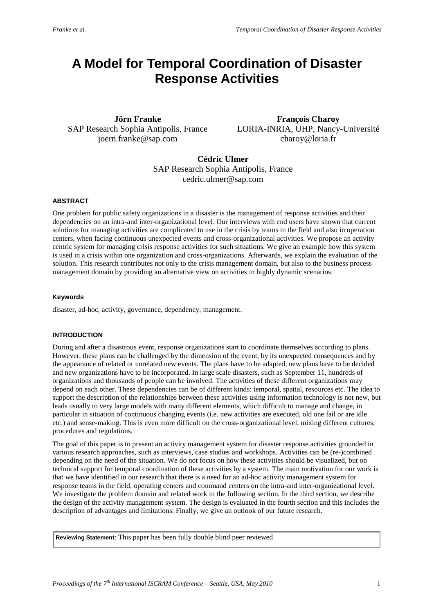# **A Model for Temporal Coordination of Disaster Response Activities**

**Jörn Franke** SAP Research Sophia Antipolis, France joern.franke@sap.com

**François Charoy** LORIA-INRIA, UHP, Nancy-Université charoy@loria.fr

**Cédric Ulmer** SAP Research Sophia Antipolis, France cedric.ulmer@sap.com

# **ABSTRACT**

One problem for public safety organizations in a disaster is the management of response activities and their dependencies on an intra-and inter-organizational level. Our interviews with end users have shown that current solutions for managing activities are complicated to use in the crisis by teams in the field and also in operation centers, when facing continuous unexpected events and cross-organizational activities. We propose an activity centric system for managing crisis response activities for such situations. We give an example how this system is used in a crisis within one organization and cross-organizations. Afterwards, we explain the evaluation of the solution. This research contributes not only to the crisis management domain, but also to the business process management domain by providing an alternative view on activities in highly dynamic scenarios.

# **Keywords**

disaster, ad-hoc, activity, governance, dependency, management.

# **INTRODUCTION**

During and after a disastrous event, response organizations start to coordinate themselves according to plans. However, these plans can be challenged by the dimension of the event, by its unexpected consequences and by the appearance of related or unrelated new events. The plans have to be adapted, new plans have to be decided and new organizations have to be incorporated. In large scale disasters, such as September 11, hundreds of organizations and thousands of people can be involved. The activities of these different organizations may depend on each other. These dependencies can be of different kinds: temporal, spatial, resources etc. The idea to support the description of the relationships between these activities using information technology is not new, but leads usually to very large models with many different elements, which difficult to manage and change, in particular in situation of continuous changing events (i.e. new activities are executed, old one fail or are idle etc.) and sense-making. This is even more difficult on the cross-organizational level, mixing different cultures, procedures and regulations.

The goal of this paper is to present an activity management system for disaster response activities grounded in various research approaches, such as interviews, case studies and workshops. Activities can be (re-)combined depending on the need of the situation. We do not focus on how these activities should be visualized, but on technical support for temporal coordination of these activities by a system. The main motivation for our work is that we have identified in our research that there is a need for an ad-hoc activity management system for response teams in the field, operating centers and command centers on the intra-and inter-organizational level. We investigate the problem domain and related work in the following section. In the third section, we describe the design of the activity management system. The design is evaluated in the fourth section and this includes the description of advantages and limitations. Finally, we give an outlook of our future research.

**Reviewing Statement**: This paper has been fully double blind peer reviewed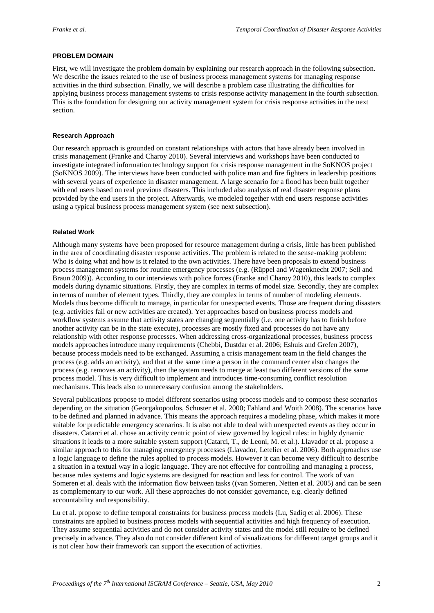### **PROBLEM DOMAIN**

First, we will investigate the problem domain by explaining our research approach in the following subsection. We describe the issues related to the use of business process management systems for managing response activities in the third subsection. Finally, we will describe a problem case illustrating the difficulties for applying business process management systems to crisis response activity management in the fourth subsection. This is the foundation for designing our activity management system for crisis response activities in the next section.

#### **Research Approach**

Our research approach is grounded on constant relationships with actors that have already been involved in crisis management (Franke and Charoy 2010). Several interviews and workshops have been conducted to investigate integrated information technology support for crisis response management in the SoKNOS project (SoKNOS 2009). The interviews have been conducted with police man and fire fighters in leadership positions with several years of experience in disaster management. A large scenario for a flood has been built together with end users based on real previous disasters. This included also analysis of real disaster response plans provided by the end users in the project. Afterwards, we modeled together with end users response activities using a typical business process management system (see next subsection).

#### **Related Work**

Although many systems have been proposed for resource management during a crisis, little has been published in the area of coordinating disaster response activities. The problem is related to the sense-making problem: Who is doing what and how is it related to the own activities. There have been proposals to extend business process management systems for routine emergency processes (e.g. (Rüppel and Wagenknecht 2007; Sell and Braun 2009)). According to our interviews with police forces (Franke and Charoy 2010), this leads to complex models during dynamic situations. Firstly, they are complex in terms of model size. Secondly, they are complex in terms of number of element types. Thirdly, they are complex in terms of number of modeling elements. Models thus become difficult to manage, in particular for unexpected events. Those are frequent during disasters (e.g. activities fail or new activities are created). Yet approaches based on business process models and workflow systems assume that activity states are changing sequentially (i.e. one activity has to finish before another activity can be in the state execute), processes are mostly fixed and processes do not have any relationship with other response processes. When addressing cross-organizational processes, business process models approaches introduce many requirements (Chebbi, Dustdar et al. 2006; Eshuis and Grefen 2007), because process models need to be exchanged. Assuming a crisis management team in the field changes the process (e.g. adds an activity), and that at the same time a person in the command center also changes the process (e.g. removes an activity), then the system needs to merge at least two different versions of the same process model. This is very difficult to implement and introduces time-consuming conflict resolution mechanisms. This leads also to unnecessary confusion among the stakeholders.

Several publications propose to model different scenarios using process models and to compose these scenarios depending on the situation (Georgakopoulos, Schuster et al. 2000; Fahland and Woith 2008). The scenarios have to be defined and planned in advance. This means the approach requires a modeling phase, which makes it more suitable for predictable emergency scenarios. It is also not able to deal with unexpected events as they occur in disasters. Catarci et al. chose an activity centric point of view governed by logical rules: in highly dynamic situations it leads to a more suitable system support (Catarci, T., de Leoni, M. et al.). Llavador et al. propose a similar approach to this for managing emergency processes (Llavador, Letelier et al. 2006). Both approaches use a logic language to define the rules applied to process models. However it can become very difficult to describe a situation in a textual way in a logic language. They are not effective for controlling and managing a process, because rules systems and logic systems are designed for reaction and less for control. The work of van Someren et al. deals with the information flow between tasks ((van Someren, Netten et al. 2005) and can be seen as complementary to our work. All these approaches do not consider governance, e.g. clearly defined accountability and responsibility.

Lu et al. propose to define temporal constraints for business process models (Lu, Sadiq et al. 2006). These constraints are applied to business process models with sequential activities and high frequency of execution. They assume sequential activities and do not consider activity states and the model still require to be defined precisely in advance. They also do not consider different kind of visualizations for different target groups and it is not clear how their framework can support the execution of activities.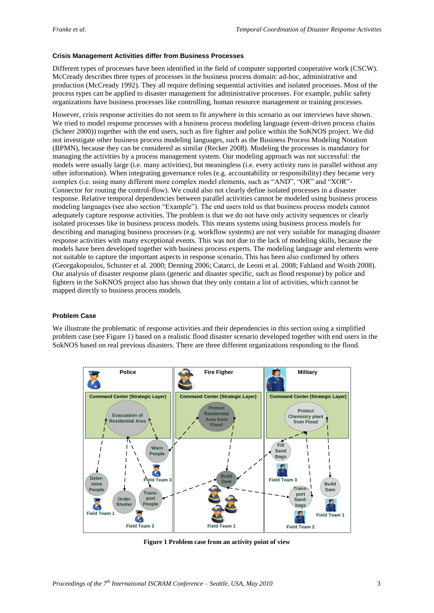### **Crisis Management Activities differ from Business Processes**

Different types of processes have been identified in the field of computer supported cooperative work (CSCW). McCready describes three types of processes in the business process domain: ad-hoc, administrative and production (McCready 1992). They all require defining sequential activities and isolated processes. Most of the process types can be applied to disaster management for administrative processes. For example, public safety organizations have business processes like controlling, human resource management or training processes.

However, crisis response activities do not seem to fit anywhere in this scenario as our interviews have shown. We tried to model response processes with a business process modeling language (event-driven process chains (Scheer 2000)) together with the end users, such as fire fighter and police within the SoKNOS project. We did not investigate other business process modeling languages, such as the Business Process Modeling Notation (BPMN), because they can be considered as similar (Recker 2008). Modeling the processes is mandatory for managing the activities by a process management system. Our modeling approach was not successful: the models were usually large (i.e. many activities), but meaningless (i.e. every activity runs in parallel without any other information). When integrating governance roles (e.g. accountability or responsibility) they became very complex (i.e. using many different more complex model elements, such as "AND", "OR" and "XOR"- Connector for routing the control-flow). We could also not clearly define isolated processes in a disaster response. Relative temporal dependencies between parallel activities cannot be modeled using business process modeling languages (see also section "Example"). The end users told us that business process models cannot adequately capture response activities. The problem is that we do not have only activity sequences or clearly isolated processes like in business process models. This means systems using business process models for describing and managing business processes (e.g. workflow systems) are not very suitable for managing disaster response activities with many exceptional events. This was not due to the lack of modeling skills, because the models have been developed together with business process experts. The modeling language and elements were not suitable to capture the important aspects in response scenario. This has been also confirmed by others (Georgakopoulos, Schuster et al. 2000; Denning 2006; Catarci, de Leoni et al. 2008; Fahland and Woith 2008). Our analysis of disaster response plans (generic and disaster specific, such as flood response) by police and fighters in the SoKNOS project also has shown that they only contain a list of activities, which cannot be mapped directly to business process models.

# **Problem Case**

We illustrate the problematic of response activities and their dependencies in this section using a simplified problem case (see Figure 1) based on a realistic flood disaster scenario developed together with end users in the SokNOS based on real previous disasters. There are three different organizations responding to the flood.



**Figure 1 Problem case from an activity point of view**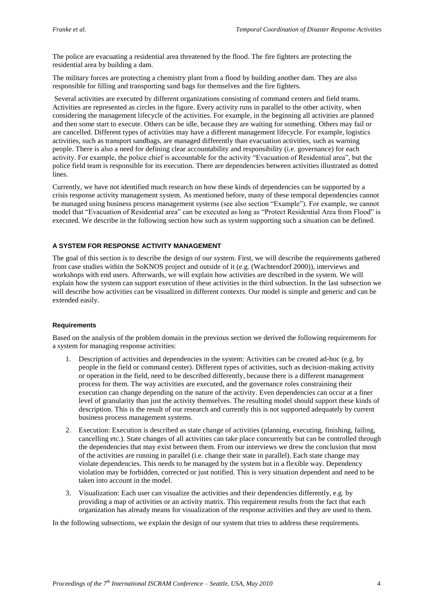The police are evacuating a residential area threatened by the flood. The fire fighters are protecting the residential area by building a dam.

The military forces are protecting a chemistry plant from a flood by building another dam. They are also responsible for filling and transporting sand bags for themselves and the fire fighters.

Several activities are executed by different organizations consisting of command centers and field teams. Activities are represented as circles in the figure. Every activity runs in parallel to the other activity, when considering the management lifecycle of the activities. For example, in the beginning all activities are planned and then some start to execute. Others can be idle, because they are waiting for something. Others may fail or are cancelled. Different types of activities may have a different management lifecycle. For example, logistics activities, such as transport sandbags, are managed differently than evacuation activities, such as warning people. There is also a need for defining clear accountability and responsibility (i.e. governance) for each activity. For example, the police chief is accountable for the activity "Evacuation of Residential area", but the police field team is responsible for its execution. There are dependencies between activities illustrated as dotted lines.

Currently, we have not identified much research on how these kinds of dependencies can be supported by a crisis response activity management system. As mentioned before, many of these temporal dependencies cannot be managed using business process management systems (see also section "Example"). For example, we cannot model that "Evacuation of Residential area" can be executed as long as "Protect Residential Area from Flood" is executed. We describe in the following section how such as system supporting such a situation can be defined.

# **A SYSTEM FOR RESPONSE ACTIVITY MANAGEMENT**

The goal of this section is to describe the design of our system. First, we will describe the requirements gathered from case studies within the SoKNOS project and outside of it (e.g. (Wachtendorf 2000)), interviews and workshops with end users. Afterwards, we will explain how activities are described in the system. We will explain how the system can support execution of these activities in the third subsection. In the last subsection we will describe how activities can be visualized in different contexts. Our model is simple and generic and can be extended easily.

# **Requirements**

Based on the analysis of the problem domain in the previous section we derived the following requirements for a system for managing response activities:

- 1. Description of activities and dependencies in the system: Activities can be created ad-hoc (e.g. by people in the field or command center). Different types of activities, such as decision-making activity or operation in the field, need to be described differently, because there is a different management process for them. The way activities are executed, and the governance roles constraining their execution can change depending on the nature of the activity. Even dependencies can occur at a finer level of granularity than just the activity themselves. The resulting model should support these kinds of description. This is the result of our research and currently this is not supported adequately by current business process management systems.
- 2. Execution: Execution is described as state change of activities (planning, executing, finishing, failing, cancelling etc.). State changes of all activities can take place concurrently but can be controlled through the dependencies that may exist between them. From our interviews we drew the conclusion that most of the activities are running in parallel (i.e. change their state in parallel). Each state change may violate dependencies. This needs to be managed by the system but in a flexible way. Dependency violation may be forbidden, corrected or just notified. This is very situation dependent and need to be taken into account in the model.
- 3. Visualization: Each user can visualize the activities and their dependencies differently, e.g. by providing a map of activities or an activity matrix. This requirement results from the fact that each organization has already means for visualization of the response activities and they are used to them.

In the following subsections, we explain the design of our system that tries to address these requirements.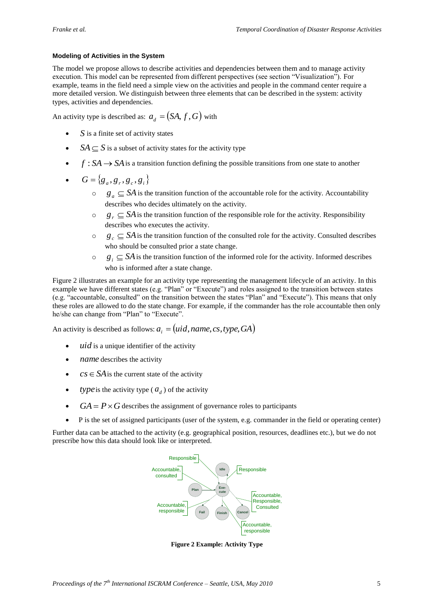# **Modeling of Activities in the System**

The model we propose allows to describe activities and dependencies between them and to manage activity execution. This model can be represented from different perspectives (see section "Visualization"). For example, teams in the field need a simple view on the activities and people in the command center require a more detailed version. We distinguish between three elements that can be described in the system: activity types, activities and dependencies.

An activity type is described as:  $a_d = (SA, f, G)$  with

- S is a finite set of activity states
- $SA \subseteq S$  is a subset of activity states for the activity type
- $\bullet$  *f* : *SA*  $\rightarrow$  *SA* is a transition function defining the possible transitions from one state to another
- $G = \{g_a, g_r, g_c, g_i\}$ 
	- $\circ$  *g<sub>a</sub>*  $\subseteq$  *SA* is the transition function of the accountable role for the activity. Accountability describes who decides ultimately on the activity.
	- $\circ$  *g<sub>r</sub>*  $\subseteq$  *SA* is the transition function of the responsible role for the activity. Responsibility describes who executes the activity.
	- $\circ$  *g<sub>c</sub>*  $\subseteq$  *SA* is the transition function of the consulted role for the activity. Consulted describes who should be consulted prior a state change.
	- o  $g_i \subseteq SA$  is the transition function of the informed role for the activity. Informed describes who is informed after a state change.

Figure 2 illustrates an example for an activity type representing the management lifecycle of an activity. In this example we have different states (e.g. "Plan" or "Execute") and roles assigned to the transition between states (e.g. "accountable, consulted" on the transition between the states "Plan" and "Execute"). This means that only these roles are allowed to do the state change. For example, if the commander has the role accountable then only he/she can change from "Plan" to "Execute".

An activity is described as follows:  $a_i = (uid, name, cs, type, GA)$ 

- *uid* is a unique identifier of the activity
- *name* describes the activity
- $cs \in SA$  is the current state of the activity
- *type* is the activity type ( $a_d$ ) of the activity
- $GA = P \times G$  describes the assignment of governance roles to participants
- P is the set of assigned participants (user of the system, e.g. commander in the field or operating center)

Further data can be attached to the activity (e.g. geographical position, resources, deadlines etc.), but we do not prescribe how this data should look like or interpreted.



**Figure 2 Example: Activity Type**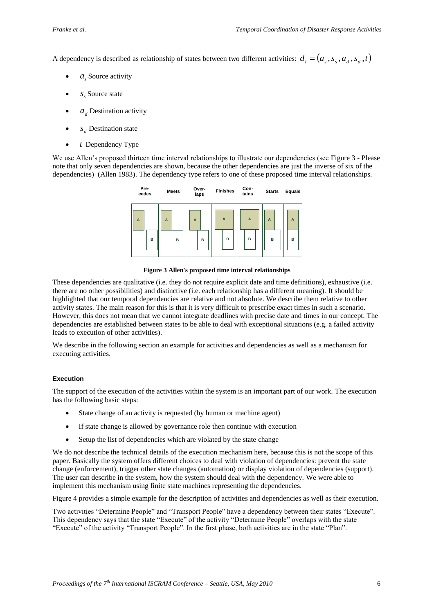A dependency is described as relationship of states between two different activities:  $d_i = (a_s, s_s, a_d, s_d, t)$ 

- $a_s$  Source activity
- $s<sub>s</sub>$  Source state
- $\bullet$  *a*<sub>*d*</sub> Destination activity
- $S_d$  Destination state
- *t* Dependency Type

We use Allen's proposed thirteen time interval relationships to illustrate our dependencies (see Figure 3 - Please note that only seven dependencies are shown, because the other dependencies are just the inverse of six of the dependencies) (Allen 1983). The dependency type refers to one of these proposed time interval relationships.



**Figure 3 Allen's proposed time interval relationships**

These dependencies are qualitative (i.e. they do not require explicit date and time definitions), exhaustive (i.e. there are no other possibilities) and distinctive (i.e. each relationship has a different meaning). It should be highlighted that our temporal dependencies are relative and not absolute. We describe them relative to other activity states. The main reason for this is that it is very difficult to prescribe exact times in such a scenario. However, this does not mean that we cannot integrate deadlines with precise date and times in our concept. The dependencies are established between states to be able to deal with exceptional situations (e.g. a failed activity leads to execution of other activities).

We describe in the following section an example for activities and dependencies as well as a mechanism for executing activities.

# **Execution**

The support of the execution of the activities within the system is an important part of our work. The execution has the following basic steps:

- State change of an activity is requested (by human or machine agent)
- If state change is allowed by governance role then continue with execution
- Setup the list of dependencies which are violated by the state change

We do not describe the technical details of the execution mechanism here, because this is not the scope of this paper. Basically the system offers different choices to deal with violation of dependencies: prevent the state change (enforcement), trigger other state changes (automation) or display violation of dependencies (support). The user can describe in the system, how the system should deal with the dependency. We were able to implement this mechanism using finite state machines representing the dependencies.

Figure 4 provides a simple example for the description of activities and dependencies as well as their execution.

Two activities "Determine People" and "Transport People" have a dependency between their states "Execute". This dependency says that the state "Execute" of the activity "Determine People" overlaps with the state "Execute" of the activity "Transport People". In the first phase, both activities are in the state "Plan".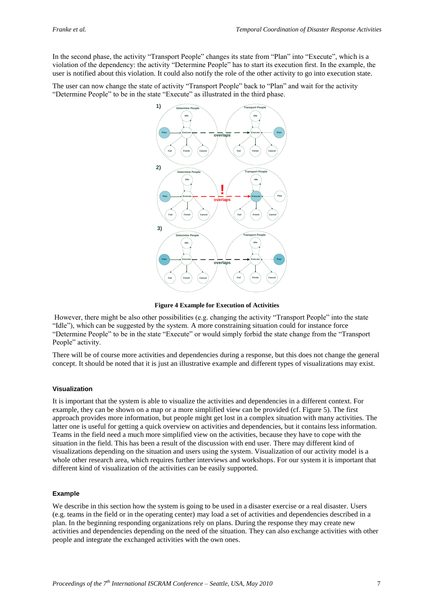In the second phase, the activity "Transport People" changes its state from "Plan" into "Execute", which is a violation of the dependency: the activity "Determine People" has to start its execution first. In the example, the user is notified about this violation. It could also notify the role of the other activity to go into execution state.

The user can now change the state of activity "Transport People" back to "Plan" and wait for the activity "Determine People" to be in the state "Execute" as illustrated in the third phase.



**Figure 4 Example for Execution of Activities**

However, there might be also other possibilities (e.g. changing the activity "Transport People" into the state "Idle"), which can be suggested by the system. A more constraining situation could for instance force "Determine People" to be in the state "Execute" or would simply forbid the state change from the "Transport People" activity.

There will be of course more activities and dependencies during a response, but this does not change the general concept. It should be noted that it is just an illustrative example and different types of visualizations may exist.

#### **Visualization**

It is important that the system is able to visualize the activities and dependencies in a different context. For example, they can be shown on a map or a more simplified view can be provided (cf. Figure 5). The first approach provides more information, but people might get lost in a complex situation with many activities. The latter one is useful for getting a quick overview on activities and dependencies, but it contains less information. Teams in the field need a much more simplified view on the activities, because they have to cope with the situation in the field. This has been a result of the discussion with end user. There may different kind of visualizations depending on the situation and users using the system. Visualization of our activity model is a whole other research area, which requires further interviews and workshops. For our system it is important that different kind of visualization of the activities can be easily supported.

#### **Example**

We describe in this section how the system is going to be used in a disaster exercise or a real disaster. Users (e.g. teams in the field or in the operating center) may load a set of activities and dependencies described in a plan. In the beginning responding organizations rely on plans. During the response they may create new activities and dependencies depending on the need of the situation. They can also exchange activities with other people and integrate the exchanged activities with the own ones.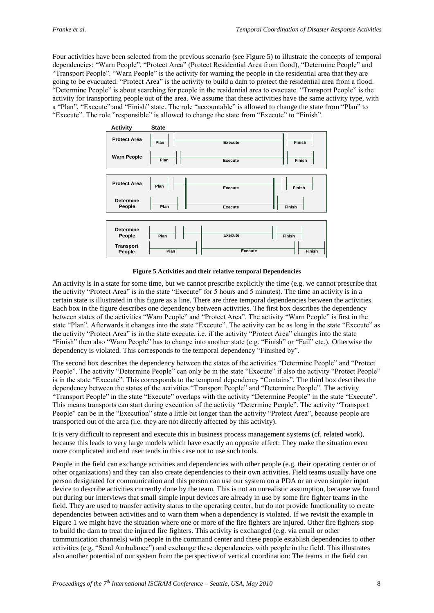Four activities have been selected from the previous scenario (see Figure 5) to illustrate the concepts of temporal dependencies: "Warn People", "Protect Area" (Protect Residential Area from flood), "Determine People" and "Transport People". "Warn People" is the activity for warning the people in the residential area that they are going to be evacuated. "Protect Area" is the activity to build a dam to protect the residential area from a flood. "Determine People" is about searching for people in the residential area to evacuate. "Transport People" is the activity for transporting people out of the area. We assume that these activities have the same activity type, with a "Plan", "Execute" and "Finish" state. The role "accountable" is allowed to change the state from "Plan" to "Execute". The role "responsible" is allowed to change the state from "Execute" to "Finish".



**Figure 5 Activities and their relative temporal Dependencies**

An activity is in a state for some time, but we cannot prescribe explicitly the time (e.g. we cannot prescribe that the activity "Protect Area" is in the state "Execute" for 5 hours and 5 minutes). The time an activity is in a certain state is illustrated in this figure as a line. There are three temporal dependencies between the activities. Each box in the figure describes one dependency between activities. The first box describes the dependency between states of the activities "Warn People" and "Protect Area". The activity "Warn People" is first in the state "Plan". Afterwards it changes into the state "Execute". The activity can be as long in the state "Execute" as the activity "Protect Area" is in the state execute, i.e. if the activity "Protect Area" changes into the state "Finish" then also "Warn People" has to change into another state (e.g. "Finish" or "Fail" etc.). Otherwise the dependency is violated. This corresponds to the temporal dependency "Finished by".

The second box describes the dependency between the states of the activities "Determine People" and "Protect People". The activity "Determine People" can only be in the state "Execute" if also the activity "Protect People" is in the state "Execute". This corresponds to the temporal dependency "Contains". The third box describes the dependency between the states of the activities "Transport People" and "Determine People". The activity "Transport People" in the state "Execute" overlaps with the activity "Determine People" in the state "Execute". This means transports can start during execution of the activity "Determine People". The activity "Transport People" can be in the "Execution" state a little bit longer than the activity "Protect Area", because people are transported out of the area (i.e. they are not directly affected by this activity).

It is very difficult to represent and execute this in business process management systems (cf. related work), because this leads to very large models which have exactly an opposite effect: They make the situation even more complicated and end user tends in this case not to use such tools.

People in the field can exchange activities and dependencies with other people (e.g. their operating center or of other organizations) and they can also create dependencies to their own activities. Field teams usually have one person designated for communication and this person can use our system on a PDA or an even simpler input device to describe activities currently done by the team. This is not an unrealistic assumption, because we found out during our interviews that small simple input devices are already in use by some fire fighter teams in the field. They are used to transfer activity status to the operating center, but do not provide functionality to create dependencies between activities and to warn them when a dependency is violated. If we revisit the example in Figure 1 we might have the situation where one or more of the fire fighters are injured. Other fire fighters stop to build the dam to treat the injured fire fighters. This activity is exchanged (e.g. via email or other communication channels) with people in the command center and these people establish dependencies to other activities (e.g. "Send Ambulance") and exchange these dependencies with people in the field. This illustrates also another potential of our system from the perspective of vertical coordination: The teams in the field can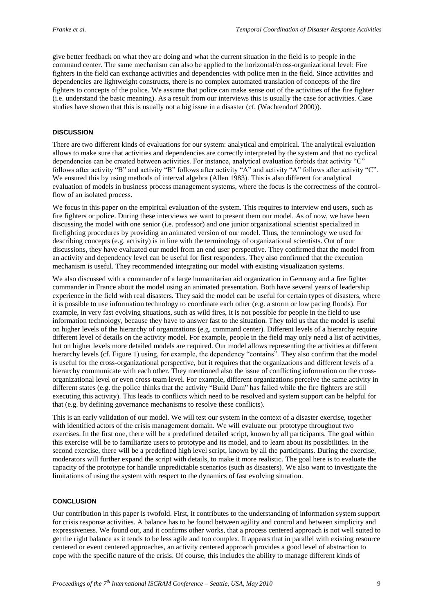give better feedback on what they are doing and what the current situation in the field is to people in the command center. The same mechanism can also be applied to the horizontal/cross-organizational level: Fire fighters in the field can exchange activities and dependencies with police men in the field. Since activities and dependencies are lightweight constructs, there is no complex automated translation of concepts of the fire fighters to concepts of the police. We assume that police can make sense out of the activities of the fire fighter (i.e. understand the basic meaning). As a result from our interviews this is usually the case for activities. Case studies have shown that this is usually not a big issue in a disaster (cf. (Wachtendorf 2000)).

#### **DISCUSSION**

There are two different kinds of evaluations for our system: analytical and empirical. The analytical evaluation allows to make sure that activities and dependencies are correctly interpreted by the system and that no cyclical dependencies can be created between activities. For instance, analytical evaluation forbids that activity "C" follows after activity "B" and activity "B" follows after activity "A" and activity "A" follows after activity "C". We ensured this by using methods of interval algebra (Allen 1983). This is also different for analytical evaluation of models in business process management systems, where the focus is the correctness of the controlflow of an isolated process.

We focus in this paper on the empirical evaluation of the system. This requires to interview end users, such as fire fighters or police. During these interviews we want to present them our model. As of now, we have been discussing the model with one senior (i.e. professor) and one junior organizational scientist specialized in firefighting procedures by providing an animated version of our model. Thus, the terminology we used for describing concepts (e.g. activity) is in line with the terminology of organizational scientists. Out of our discussions, they have evaluated our model from an end user perspective. They confirmed that the model from an activity and dependency level can be useful for first responders. They also confirmed that the execution mechanism is useful. They recommended integrating our model with existing visualization systems.

We also discussed with a commander of a large humanitarian aid organization in Germany and a fire fighter commander in France about the model using an animated presentation. Both have several years of leadership experience in the field with real disasters. They said the model can be useful for certain types of disasters, where it is possible to use information technology to coordinate each other (e.g. a storm or low pacing floods). For example, in very fast evolving situations, such as wild fires, it is not possible for people in the field to use information technology, because they have to answer fast to the situation. They told us that the model is useful on higher levels of the hierarchy of organizations (e.g. command center). Different levels of a hierarchy require different level of details on the activity model. For example, people in the field may only need a list of activities, but on higher levels more detailed models are required. Our model allows representing the activities at different hierarchy levels (cf. Figure 1) using, for example, the dependency "contains". They also confirm that the model is useful for the cross-organizational perspective, but it requires that the organizations and different levels of a hierarchy communicate with each other. They mentioned also the issue of conflicting information on the crossorganizational level or even cross-team level. For example, different organizations perceive the same activity in different states (e.g. the police thinks that the activity "Build Dam" has failed while the fire fighters are still executing this activity). This leads to conflicts which need to be resolved and system support can be helpful for that (e.g. by defining governance mechanisms to resolve these conflicts).

This is an early validation of our model. We will test our system in the context of a disaster exercise, together with identified actors of the crisis management domain. We will evaluate our prototype throughout two exercises. In the first one, there will be a predefined detailed script, known by all participants. The goal within this exercise will be to familiarize users to prototype and its model, and to learn about its possibilities. In the second exercise, there will be a predefined high level script, known by all the participants. During the exercise, moderators will further expand the script with details, to make it more realistic. The goal here is to evaluate the capacity of the prototype for handle unpredictable scenarios (such as disasters). We also want to investigate the limitations of using the system with respect to the dynamics of fast evolving situation.

### **CONCLUSION**

Our contribution in this paper is twofold. First, it contributes to the understanding of information system support for crisis response activities. A balance has to be found between agility and control and between simplicity and expressiveness. We found out, and it confirms other works, that a process centered approach is not well suited to get the right balance as it tends to be less agile and too complex. It appears that in parallel with existing resource centered or event centered approaches, an activity centered approach provides a good level of abstraction to cope with the specific nature of the crisis. Of course, this includes the ability to manage different kinds of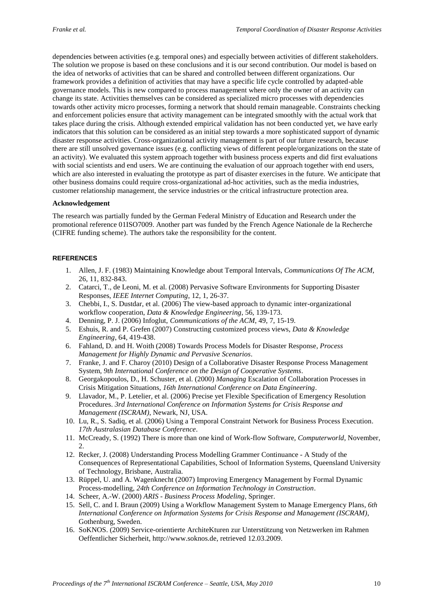dependencies between activities (e.g. temporal ones) and especially between activities of different stakeholders. The solution we propose is based on these conclusions and it is our second contribution. Our model is based on the idea of networks of activities that can be shared and controlled between different organizations. Our framework provides a definition of activities that may have a specific life cycle controlled by adapted-able governance models. This is new compared to process management where only the owner of an activity can change its state. Activities themselves can be considered as specialized micro processes with dependencies towards other activity micro processes, forming a network that should remain manageable. Constraints checking and enforcement policies ensure that activity management can be integrated smoothly with the actual work that takes place during the crisis. Although extended empirical validation has not been conducted yet, we have early indicators that this solution can be considered as an initial step towards a more sophisticated support of dynamic disaster response activities. Cross-organizational activity management is part of our future research, because there are still unsolved governance issues (e.g. conflicting views of different people/organizations on the state of an activity). We evaluated this system approach together with business process experts and did first evaluations with social scientists and end users. We are continuing the evaluation of our approach together with end users, which are also interested in evaluating the prototype as part of disaster exercises in the future. We anticipate that other business domains could require cross-organizational ad-hoc activities, such as the media industries, customer relationship management, the service industries or the critical infrastructure protection area.

# **Acknowledgement**

The research was partially funded by the German Federal Ministry of Education and Research under the promotional reference 01ISO7009. Another part was funded by the French Agence Nationale de la Recherche (CIFRE funding scheme). The authors take the responsibility for the content.

# **REFERENCES**

- 1. Allen, J. F. (1983) Maintaining Knowledge about Temporal Intervals, *Communications Of The ACM*, 26, 11, 832-843.
- 2. Catarci, T., de Leoni, M. et al. (2008) Pervasive Software Environments for Supporting Disaster Responses, *IEEE Internet Computing*, 12, 1, 26-37.
- 3. Chebbi, I., S. Dustdar, et al. (2006) The view-based approach to dynamic inter-organizational workflow cooperation, *Data & Knowledge Engineering*, 56, 139-173.
- 4. Denning, P. J. (2006) Infoglut, *Communications of the ACM*, 49, 7, 15-19.
- 5. Eshuis, R. and P. Grefen (2007) Constructing customized process views, *Data & Knowledge Engineering*, 64, 419-438.
- 6. Fahland, D. and H. Woith (2008) Towards Process Models for Disaster Response, *Process Management for Highly Dynamic and Pervasive Scenarios*.
- 7. Franke, J. and F. Charoy (2010) Design of a Collaborative Disaster Response Process Management System*, 9th International Conference on the Design of Cooperative Systems*.
- 8. Georgakopoulos, D., H. Schuster, et al. (2000) *Managing* Escalation of Collaboration Processes in Crisis Mitigation Situations, *16th International Conference on Data Engineering*.
- 9. Llavador, M., P. Letelier, et al. (2006) Precise yet Flexible Specification of Emergency Resolution Procedures. *3rd International Conference on Information Systems for Crisis Response and Management (ISCRAM)*, Newark, NJ, USA.
- 10. Lu, R., S. Sadiq, et al. (2006) Using a Temporal Constraint Network for Business Process Execution. *17th Australasian Database Conference*.
- 11. McCready, S. (1992) There is more than one kind of Work-flow Software, *Computerworld*, November,  $2<sub>1</sub>$
- 12. Recker, J. (2008) Understanding Process Modelling Grammer Continuance A Study of the Consequences of Representational Capabilities, School of Information Systems, Queensland University of Technology, Brisbane, Australia.
- 13. Rüppel, U. and A. Wagenknecht (2007) Improving Emergency Management by Formal Dynamic Process-modelling, *24th Conference on Information Technology in Construction*.
- 14. Scheer, A.-W. (2000) *ARIS - Business Process Modeling*, Springer.
- 15. Sell, C. and I. Braun (2009) Using a Workflow Management System to Manage Emergency Plans, *6th International Conference on Information Systems for Crisis Response and Management (ISCRAM)*, Gothenburg, Sweden.
- 16. SoKNOS. (2009) Service-orientierte ArchiteKturen zur Unterstützung von Netzwerken im Rahmen Oeffentlicher Sicherheit, http://www.soknos.de, retrieved 12.03.2009.